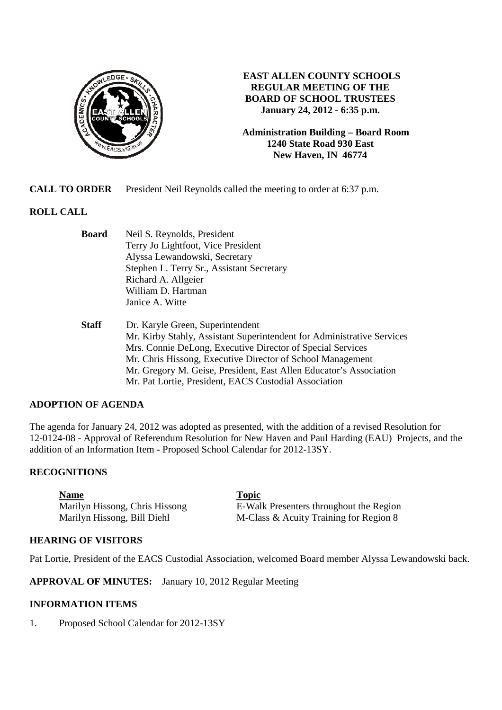

# **EAST ALLEN COUNTY SCHOOLS REGULAR MEETING OF THE BOARD OF SCHOOL TRUSTEES January 24, 2012 - 6:35 p.m.**

**Administration Building – Board Room 1240 State Road 930 East New Haven, IN 46774**

**CALL TO ORDER** President Neil Reynolds called the meeting to order at 6:37 p.m.

# **ROLL CALL**

| Board | Neil S. Reynolds, President               |
|-------|-------------------------------------------|
|       | Terry Jo Lightfoot, Vice President        |
|       | Alyssa Lewandowski, Secretary             |
|       | Stephen L. Terry Sr., Assistant Secretary |
|       | Richard A. Allgeier                       |
|       | William D. Hartman                        |
|       | Janice A. Witte                           |
|       |                                           |

 **Staff** Dr. Karyle Green, Superintendent Mr. Kirby Stahly, Assistant Superintendent for Administrative Services Mrs. Connie DeLong, Executive Director of Special Services Mr. Chris Hissong, Executive Director of School Management Mr. Gregory M. Geise, President, East Allen Educator's Association Mr. Pat Lortie, President, EACS Custodial Association

### **ADOPTION OF AGENDA**

The agenda for January 24, 2012 was adopted as presented, with the addition of a revised Resolution for 12-0124-08 - Approval of Referendum Resolution for New Haven and Paul Harding (EAU) Projects, and the addition of an Information Item - Proposed School Calendar for 2012-13SY.

#### **RECOGNITIONS**

**Name Topic** 

Marilyn Hissong, Chris Hissong E-Walk Presenters throughout the Region Marilyn Hissong, Bill Diehl M-Class & Acuity Training for Region 8

### **HEARING OF VISITORS**

Pat Lortie, President of the EACS Custodial Association, welcomed Board member Alyssa Lewandowski back.

**APPROVAL OF MINUTES:** January 10, 2012 Regular Meeting

### **INFORMATION ITEMS**

1. Proposed School Calendar for 2012-13SY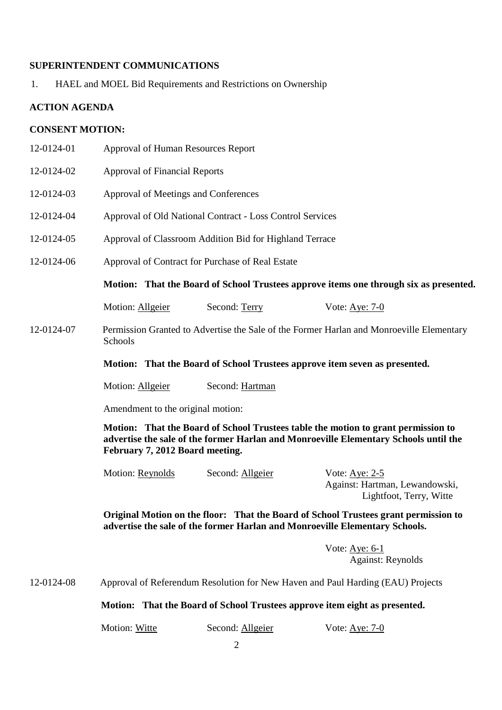# **SUPERINTENDENT COMMUNICATIONS**

1. HAEL and MOEL Bid Requirements and Restrictions on Ownership

# **ACTION AGENDA**

# **CONSENT MOTION:**

| 12-0124-01 | Approval of Human Resources Report                                                                                                                                                                           |                                                                            |                                                                                          |  |
|------------|--------------------------------------------------------------------------------------------------------------------------------------------------------------------------------------------------------------|----------------------------------------------------------------------------|------------------------------------------------------------------------------------------|--|
| 12-0124-02 | <b>Approval of Financial Reports</b>                                                                                                                                                                         |                                                                            |                                                                                          |  |
| 12-0124-03 | Approval of Meetings and Conferences                                                                                                                                                                         |                                                                            |                                                                                          |  |
| 12-0124-04 | Approval of Old National Contract - Loss Control Services                                                                                                                                                    |                                                                            |                                                                                          |  |
| 12-0124-05 | Approval of Classroom Addition Bid for Highland Terrace                                                                                                                                                      |                                                                            |                                                                                          |  |
| 12-0124-06 | Approval of Contract for Purchase of Real Estate                                                                                                                                                             |                                                                            |                                                                                          |  |
|            |                                                                                                                                                                                                              |                                                                            | Motion: That the Board of School Trustees approve items one through six as presented.    |  |
|            | Motion: Allgeier                                                                                                                                                                                             | Second: Terry                                                              | Vote: Aye: 7-0                                                                           |  |
| 12-0124-07 | Schools                                                                                                                                                                                                      |                                                                            | Permission Granted to Advertise the Sale of the Former Harlan and Monroeville Elementary |  |
|            |                                                                                                                                                                                                              | Motion: That the Board of School Trustees approve item seven as presented. |                                                                                          |  |
|            | Motion: Allgeier                                                                                                                                                                                             | Second: Hartman                                                            |                                                                                          |  |
|            | Amendment to the original motion:                                                                                                                                                                            |                                                                            |                                                                                          |  |
|            | Motion: That the Board of School Trustees table the motion to grant permission to<br>advertise the sale of the former Harlan and Monroeville Elementary Schools until the<br>February 7, 2012 Board meeting. |                                                                            |                                                                                          |  |
|            | Motion: Reynolds                                                                                                                                                                                             | Second: Allgeier                                                           | Vote: $Aye: 2-5$<br>Against: Hartman, Lewandowski,<br>Lightfoot, Terry, Witte            |  |
|            | Original Motion on the floor: That the Board of School Trustees grant permission to<br>advertise the sale of the former Harlan and Monroeville Elementary Schools.                                           |                                                                            |                                                                                          |  |
|            |                                                                                                                                                                                                              |                                                                            | Vote: $Aye: 6-1$<br><b>Against: Reynolds</b>                                             |  |
| 12-0124-08 | Approval of Referendum Resolution for New Haven and Paul Harding (EAU) Projects                                                                                                                              |                                                                            |                                                                                          |  |
|            |                                                                                                                                                                                                              | Motion: That the Board of School Trustees approve item eight as presented. |                                                                                          |  |

Motion: Witte Second: Allgeier Vote: Aye: 7-0